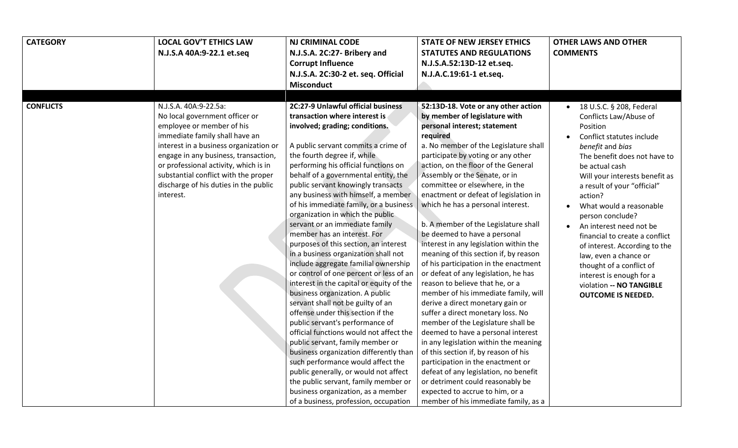| <b>CATEGORY</b>  | <b>LOCAL GOV'T ETHICS LAW</b><br>N.J.S.A 40A:9-22.1 et.seq                                                                                                                                                                                                                                                                                      | <b>NJ CRIMINAL CODE</b><br>N.J.S.A. 2C:27- Bribery and<br><b>Corrupt Influence</b><br>N.J.S.A. 2C:30-2 et. seq. Official<br><b>Misconduct</b>                                                                                                                                                                                                                                                                                                                                                                                                                                                                                                                                                                                                                                                                                                                                                                                                                                                                                                                                                                                                                                         | <b>STATE OF NEW JERSEY ETHICS</b><br><b>STATUTES AND REGULATIONS</b><br>N.J.S.A.52:13D-12 et.seq.<br>N.J.A.C.19:61-1 et.seq.                                                                                                                                                                                                                                                                                                                                                                                                                                                                                                                                                                                                                                                                                                                                                                                                                                                                                                                                                                                                                      | <b>OTHER LAWS AND OTHER</b><br><b>COMMENTS</b>                                                                                                                                                                                                                                                                                                                                                                                                                                                                                                 |
|------------------|-------------------------------------------------------------------------------------------------------------------------------------------------------------------------------------------------------------------------------------------------------------------------------------------------------------------------------------------------|---------------------------------------------------------------------------------------------------------------------------------------------------------------------------------------------------------------------------------------------------------------------------------------------------------------------------------------------------------------------------------------------------------------------------------------------------------------------------------------------------------------------------------------------------------------------------------------------------------------------------------------------------------------------------------------------------------------------------------------------------------------------------------------------------------------------------------------------------------------------------------------------------------------------------------------------------------------------------------------------------------------------------------------------------------------------------------------------------------------------------------------------------------------------------------------|---------------------------------------------------------------------------------------------------------------------------------------------------------------------------------------------------------------------------------------------------------------------------------------------------------------------------------------------------------------------------------------------------------------------------------------------------------------------------------------------------------------------------------------------------------------------------------------------------------------------------------------------------------------------------------------------------------------------------------------------------------------------------------------------------------------------------------------------------------------------------------------------------------------------------------------------------------------------------------------------------------------------------------------------------------------------------------------------------------------------------------------------------|------------------------------------------------------------------------------------------------------------------------------------------------------------------------------------------------------------------------------------------------------------------------------------------------------------------------------------------------------------------------------------------------------------------------------------------------------------------------------------------------------------------------------------------------|
| <b>CONFLICTS</b> | N.J.S.A. 40A:9-22.5a:<br>No local government officer or<br>employee or member of his<br>immediate family shall have an<br>interest in a business organization or<br>engage in any business, transaction,<br>or professional activity, which is in<br>substantial conflict with the proper<br>discharge of his duties in the public<br>interest. | 2C:27-9 Unlawful official business<br>transaction where interest is<br>involved; grading; conditions.<br>A public servant commits a crime of<br>the fourth degree if, while<br>performing his official functions on<br>behalf of a governmental entity, the<br>public servant knowingly transacts<br>any business with himself, a member<br>of his immediate family, or a business<br>organization in which the public<br>servant or an immediate family<br>member has an interest. For<br>purposes of this section, an interest<br>in a business organization shall not<br>include aggregate familial ownership<br>or control of one percent or less of an<br>interest in the capital or equity of the<br>business organization. A public<br>servant shall not be guilty of an<br>offense under this section if the<br>public servant's performance of<br>official functions would not affect the<br>public servant, family member or<br>business organization differently than<br>such performance would affect the<br>public generally, or would not affect<br>the public servant, family member or<br>business organization, as a member<br>of a business, profession, occupation | 52:13D-18. Vote or any other action<br>by member of legislature with<br>personal interest; statement<br>required<br>a. No member of the Legislature shall<br>participate by voting or any other<br>action, on the floor of the General<br>Assembly or the Senate, or in<br>committee or elsewhere, in the<br>enactment or defeat of legislation in<br>which he has a personal interest.<br>b. A member of the Legislature shall<br>be deemed to have a personal<br>interest in any legislation within the<br>meaning of this section if, by reason<br>of his participation in the enactment<br>or defeat of any legislation, he has<br>reason to believe that he, or a<br>member of his immediate family, will<br>derive a direct monetary gain or<br>suffer a direct monetary loss. No<br>member of the Legislature shall be<br>deemed to have a personal interest<br>in any legislation within the meaning<br>of this section if, by reason of his<br>participation in the enactment or<br>defeat of any legislation, no benefit<br>or detriment could reasonably be<br>expected to accrue to him, or a<br>member of his immediate family, as a | $\bullet$ 18 U.S.C. § 208, Federal<br>Conflicts Law/Abuse of<br>Position<br>Conflict statutes include<br>benefit and bias<br>The benefit does not have to<br>be actual cash<br>Will your interests benefit as<br>a result of your "official"<br>action?<br>What would a reasonable<br>person conclude?<br>An interest need not be<br>financial to create a conflict<br>of interest. According to the<br>law, even a chance or<br>thought of a conflict of<br>interest is enough for a<br>violation -- NO TANGIBLE<br><b>OUTCOME IS NEEDED.</b> |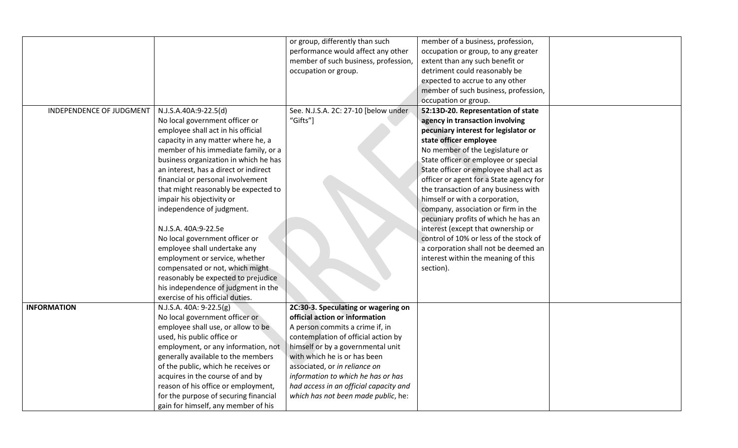|                          |                                       | or group, differently than such        | member of a business, profession,       |  |
|--------------------------|---------------------------------------|----------------------------------------|-----------------------------------------|--|
|                          |                                       | performance would affect any other     | occupation or group, to any greater     |  |
|                          |                                       | member of such business, profession,   | extent than any such benefit or         |  |
|                          |                                       | occupation or group.                   | detriment could reasonably be           |  |
|                          |                                       |                                        | expected to accrue to any other         |  |
|                          |                                       |                                        | member of such business, profession,    |  |
|                          |                                       |                                        | occupation or group.                    |  |
| INDEPENDENCE OF JUDGMENT | N.J.S.A.40A:9-22.5(d)                 | See. N.J.S.A. 2C: 27-10 [below under   | 52:13D-20. Representation of state      |  |
|                          | No local government officer or        | "Gifts"]                               | agency in transaction involving         |  |
|                          | employee shall act in his official    |                                        | pecuniary interest for legislator or    |  |
|                          | capacity in any matter where he, a    |                                        | state officer employee                  |  |
|                          | member of his immediate family, or a  |                                        | No member of the Legislature or         |  |
|                          | business organization in which he has |                                        | State officer or employee or special    |  |
|                          | an interest, has a direct or indirect |                                        | State officer or employee shall act as  |  |
|                          | financial or personal involvement     |                                        | officer or agent for a State agency for |  |
|                          | that might reasonably be expected to  |                                        | the transaction of any business with    |  |
|                          | impair his objectivity or             |                                        | himself or with a corporation,          |  |
|                          | independence of judgment.             |                                        | company, association or firm in the     |  |
|                          |                                       |                                        | pecuniary profits of which he has an    |  |
|                          | N.J.S.A. 40A:9-22.5e                  |                                        | interest (except that ownership or      |  |
|                          | No local government officer or        |                                        | control of 10% or less of the stock of  |  |
|                          | employee shall undertake any          |                                        | a corporation shall not be deemed an    |  |
|                          | employment or service, whether        |                                        | interest within the meaning of this     |  |
|                          | compensated or not, which might       |                                        | section).                               |  |
|                          | reasonably be expected to prejudice   |                                        |                                         |  |
|                          | his independence of judgment in the   |                                        |                                         |  |
|                          | exercise of his official duties.      |                                        |                                         |  |
| <b>INFORMATION</b>       | N.J.S.A. 40A: 9-22.5(g)               | 2C:30-3. Speculating or wagering on    |                                         |  |
|                          | No local government officer or        | official action or information         |                                         |  |
|                          | employee shall use, or allow to be    | A person commits a crime if, in        |                                         |  |
|                          | used, his public office or            | contemplation of official action by    |                                         |  |
|                          | employment, or any information, not   | himself or by a governmental unit      |                                         |  |
|                          | generally available to the members    | with which he is or has been           |                                         |  |
|                          | of the public, which he receives or   | associated, or in reliance on          |                                         |  |
|                          | acquires in the course of and by      | information to which he has or has     |                                         |  |
|                          | reason of his office or employment,   | had access in an official capacity and |                                         |  |
|                          | for the purpose of securing financial | which has not been made public, he:    |                                         |  |
|                          | gain for himself, any member of his   |                                        |                                         |  |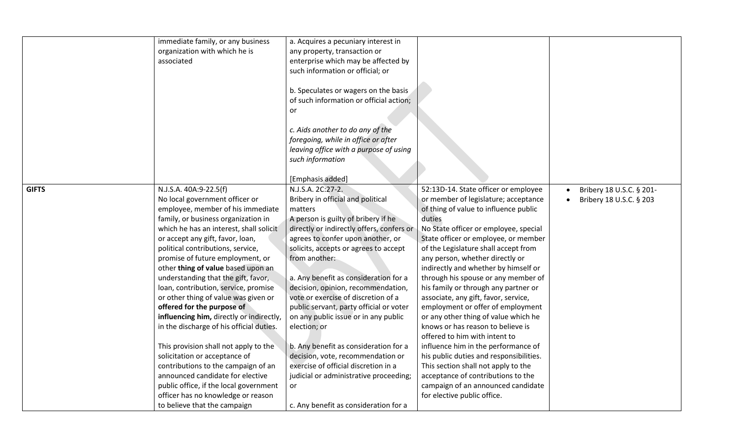|              | immediate family, or any business<br>organization with which he is<br>associated | a. Acquires a pecuniary interest in<br>any property, transaction or<br>enterprise which may be affected by<br>such information or official; or<br>b. Speculates or wagers on the basis<br>of such information or official action;<br>or<br>c. Aids another to do any of the<br>foregoing, while in office or after<br>leaving office with a purpose of using<br>such information |                                         |                          |
|--------------|----------------------------------------------------------------------------------|----------------------------------------------------------------------------------------------------------------------------------------------------------------------------------------------------------------------------------------------------------------------------------------------------------------------------------------------------------------------------------|-----------------------------------------|--------------------------|
|              |                                                                                  |                                                                                                                                                                                                                                                                                                                                                                                  |                                         |                          |
|              |                                                                                  | [Emphasis added]                                                                                                                                                                                                                                                                                                                                                                 |                                         |                          |
| <b>GIFTS</b> | N.J.S.A. 40A:9-22.5(f)                                                           | N.J.S.A. 2C:27-2.                                                                                                                                                                                                                                                                                                                                                                | 52:13D-14. State officer or employee    | Bribery 18 U.S.C. § 201- |
|              | No local government officer or                                                   | Bribery in official and political                                                                                                                                                                                                                                                                                                                                                | or member of legislature; acceptance    | Bribery 18 U.S.C. § 203  |
|              | employee, member of his immediate                                                | matters                                                                                                                                                                                                                                                                                                                                                                          | of thing of value to influence public   |                          |
|              | family, or business organization in                                              | A person is guilty of bribery if he                                                                                                                                                                                                                                                                                                                                              | duties                                  |                          |
|              | which he has an interest, shall solicit                                          | directly or indirectly offers, confers or                                                                                                                                                                                                                                                                                                                                        | No State officer or employee, special   |                          |
|              | or accept any gift, favor, loan,                                                 | agrees to confer upon another, or                                                                                                                                                                                                                                                                                                                                                | State officer or employee, or member    |                          |
|              | political contributions, service,                                                | solicits, accepts or agrees to accept                                                                                                                                                                                                                                                                                                                                            | of the Legislature shall accept from    |                          |
|              | promise of future employment, or                                                 | from another:                                                                                                                                                                                                                                                                                                                                                                    | any person, whether directly or         |                          |
|              | other thing of value based upon an                                               |                                                                                                                                                                                                                                                                                                                                                                                  | indirectly and whether by himself or    |                          |
|              | understanding that the gift, favor,                                              | a. Any benefit as consideration for a                                                                                                                                                                                                                                                                                                                                            | through his spouse or any member of     |                          |
|              | loan, contribution, service, promise                                             | decision, opinion, recommendation,                                                                                                                                                                                                                                                                                                                                               | his family or through any partner or    |                          |
|              | or other thing of value was given or                                             | vote or exercise of discretion of a                                                                                                                                                                                                                                                                                                                                              | associate, any gift, favor, service,    |                          |
|              | offered for the purpose of                                                       | public servant, party official or voter                                                                                                                                                                                                                                                                                                                                          | employment or offer of employment       |                          |
|              | influencing him, directly or indirectly,                                         | on any public issue or in any public                                                                                                                                                                                                                                                                                                                                             | or any other thing of value which he    |                          |
|              | in the discharge of his official duties.                                         | election; or                                                                                                                                                                                                                                                                                                                                                                     | knows or has reason to believe is       |                          |
|              |                                                                                  |                                                                                                                                                                                                                                                                                                                                                                                  | offered to him with intent to           |                          |
|              | This provision shall not apply to the                                            | b. Any benefit as consideration for a                                                                                                                                                                                                                                                                                                                                            | influence him in the performance of     |                          |
|              | solicitation or acceptance of                                                    | decision, vote, recommendation or                                                                                                                                                                                                                                                                                                                                                | his public duties and responsibilities. |                          |
|              | contributions to the campaign of an                                              | exercise of official discretion in a                                                                                                                                                                                                                                                                                                                                             | This section shall not apply to the     |                          |
|              | announced candidate for elective                                                 | judicial or administrative proceeding;                                                                                                                                                                                                                                                                                                                                           | acceptance of contributions to the      |                          |
|              | public office, if the local government                                           | or                                                                                                                                                                                                                                                                                                                                                                               | campaign of an announced candidate      |                          |
|              | officer has no knowledge or reason                                               |                                                                                                                                                                                                                                                                                                                                                                                  | for elective public office.             |                          |
|              | to believe that the campaign                                                     | c. Any benefit as consideration for a                                                                                                                                                                                                                                                                                                                                            |                                         |                          |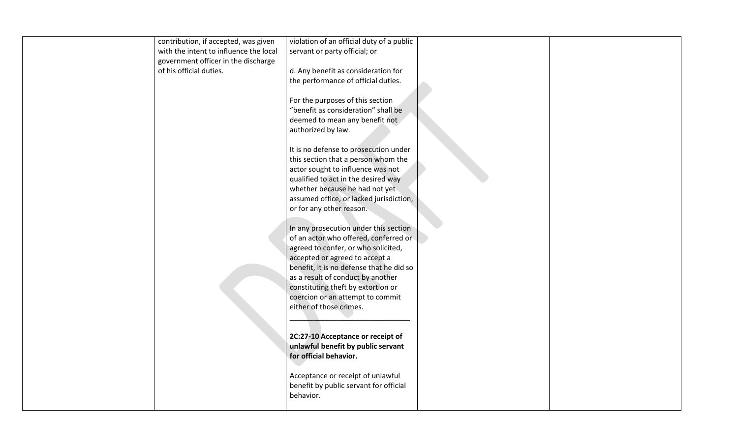| contribution, if accepted, was given   | violation of an official duty of a public |  |
|----------------------------------------|-------------------------------------------|--|
| with the intent to influence the local | servant or party official; or             |  |
| government officer in the discharge    |                                           |  |
| of his official duties.                | d. Any benefit as consideration for       |  |
|                                        | the performance of official duties.       |  |
|                                        |                                           |  |
|                                        | For the purposes of this section          |  |
|                                        | "benefit as consideration" shall be       |  |
|                                        | deemed to mean any benefit not            |  |
|                                        | authorized by law.                        |  |
|                                        |                                           |  |
|                                        | It is no defense to prosecution under     |  |
|                                        | this section that a person whom the       |  |
|                                        | actor sought to influence was not         |  |
|                                        | qualified to act in the desired way       |  |
|                                        | whether because he had not yet            |  |
|                                        | assumed office, or lacked jurisdiction,   |  |
|                                        | or for any other reason.                  |  |
|                                        |                                           |  |
|                                        | In any prosecution under this section     |  |
|                                        | of an actor who offered, conferred or     |  |
|                                        | agreed to confer, or who solicited,       |  |
|                                        | accepted or agreed to accept a            |  |
|                                        | benefit, it is no defense that he did so  |  |
|                                        | as a result of conduct by another         |  |
|                                        | constituting theft by extortion or        |  |
|                                        | coercion or an attempt to commit          |  |
|                                        | either of those crimes.                   |  |
|                                        |                                           |  |
|                                        | 2C:27-10 Acceptance or receipt of         |  |
|                                        | unlawful benefit by public servant        |  |
|                                        | for official behavior.                    |  |
|                                        |                                           |  |
|                                        | Acceptance or receipt of unlawful         |  |
|                                        | benefit by public servant for official    |  |
|                                        | behavior.                                 |  |
|                                        |                                           |  |
|                                        |                                           |  |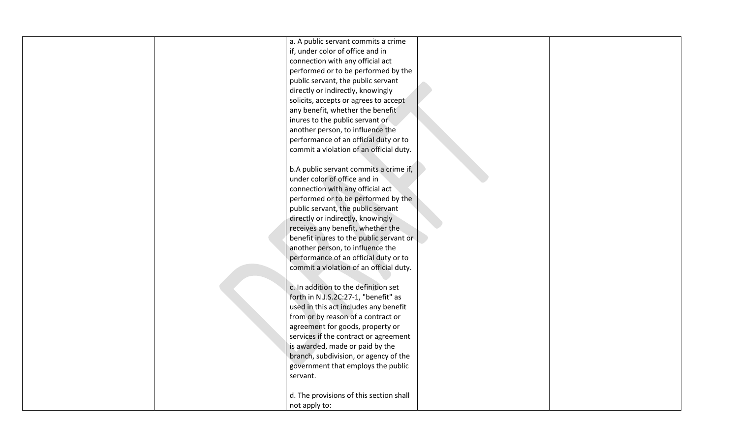| a. A public servant commits a crime     |  |
|-----------------------------------------|--|
| if, under color of office and in        |  |
| connection with any official act        |  |
| performed or to be performed by the     |  |
| public servant, the public servant      |  |
| directly or indirectly, knowingly       |  |
| solicits, accepts or agrees to accept   |  |
| any benefit, whether the benefit        |  |
|                                         |  |
| inures to the public servant or         |  |
| another person, to influence the        |  |
| performance of an official duty or to   |  |
| commit a violation of an official duty. |  |
|                                         |  |
| b.A public servant commits a crime if,  |  |
| under color of office and in            |  |
| connection with any official act        |  |
|                                         |  |
| performed or to be performed by the     |  |
| public servant, the public servant      |  |
| directly or indirectly, knowingly       |  |
| receives any benefit, whether the       |  |
| benefit inures to the public servant or |  |
| another person, to influence the        |  |
| performance of an official duty or to   |  |
| commit a violation of an official duty. |  |
|                                         |  |
| c. In addition to the definition set    |  |
|                                         |  |
| forth in N.J.S.2C:27-1, "benefit" as    |  |
| used in this act includes any benefit   |  |
| from or by reason of a contract or      |  |
| agreement for goods, property or        |  |
| services if the contract or agreement   |  |
| is awarded, made or paid by the         |  |
| branch, subdivision, or agency of the   |  |
| government that employs the public      |  |
| servant.                                |  |
|                                         |  |
|                                         |  |
| d. The provisions of this section shall |  |
| not apply to:                           |  |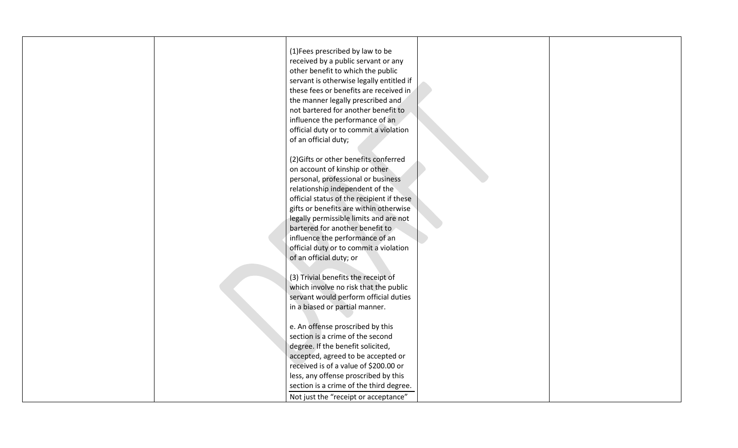| (1) Fees prescribed by law to be          |  |
|-------------------------------------------|--|
| received by a public servant or any       |  |
| other benefit to which the public         |  |
| servant is otherwise legally entitled if  |  |
| these fees or benefits are received in    |  |
| the manner legally prescribed and         |  |
|                                           |  |
| not bartered for another benefit to       |  |
| influence the performance of an           |  |
| official duty or to commit a violation    |  |
| of an official duty;                      |  |
|                                           |  |
| (2) Gifts or other benefits conferred     |  |
| on account of kinship or other            |  |
| personal, professional or business        |  |
| relationship independent of the           |  |
| official status of the recipient if these |  |
| gifts or benefits are within otherwise    |  |
| legally permissible limits and are not    |  |
| bartered for another benefit to           |  |
| influence the performance of an           |  |
| official duty or to commit a violation    |  |
| of an official duty; or                   |  |
|                                           |  |
| (3) Trivial benefits the receipt of       |  |
| which involve no risk that the public     |  |
| servant would perform official duties     |  |
| in a biased or partial manner.            |  |
|                                           |  |
| e. An offense proscribed by this          |  |
| section is a crime of the second          |  |
| degree. If the benefit solicited,         |  |
| accepted, agreed to be accepted or        |  |
| received is of a value of \$200.00 or     |  |
| less, any offense proscribed by this      |  |
| section is a crime of the third degree.   |  |
|                                           |  |
| Not just the "receipt or acceptance"      |  |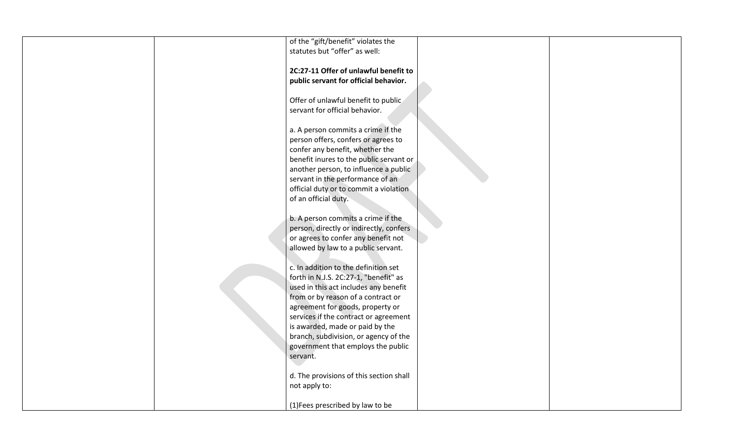| of the "gift/benefit" violates the      |  |
|-----------------------------------------|--|
| statutes but "offer" as well:           |  |
|                                         |  |
| 2C:27-11 Offer of unlawful benefit to   |  |
| public servant for official behavior.   |  |
|                                         |  |
|                                         |  |
| Offer of unlawful benefit to public     |  |
| servant for official behavior.          |  |
|                                         |  |
| a. A person commits a crime if the      |  |
| person offers, confers or agrees to     |  |
| confer any benefit, whether the         |  |
| benefit inures to the public servant or |  |
|                                         |  |
| another person, to influence a public   |  |
| servant in the performance of an        |  |
| official duty or to commit a violation  |  |
| of an official duty.                    |  |
|                                         |  |
| b. A person commits a crime if the      |  |
| person, directly or indirectly, confers |  |
| or agrees to confer any benefit not     |  |
| allowed by law to a public servant.     |  |
|                                         |  |
|                                         |  |
| c. In addition to the definition set    |  |
| forth in N.J.S. 2C:27-1, "benefit" as   |  |
| used in this act includes any benefit   |  |
| from or by reason of a contract or      |  |
| agreement for goods, property or        |  |
| services if the contract or agreement   |  |
| is awarded, made or paid by the         |  |
| branch, subdivision, or agency of the   |  |
| government that employs the public      |  |
|                                         |  |
| servant.                                |  |
|                                         |  |
| d. The provisions of this section shall |  |
| not apply to:                           |  |
|                                         |  |
| (1) Fees prescribed by law to be        |  |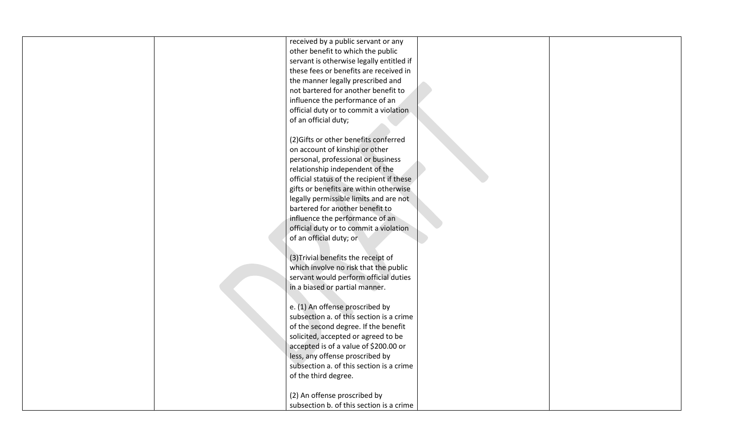| received by a public servant or any       |  |
|-------------------------------------------|--|
| other benefit to which the public         |  |
| servant is otherwise legally entitled if  |  |
| these fees or benefits are received in    |  |
| the manner legally prescribed and         |  |
| not bartered for another benefit to       |  |
| influence the performance of an           |  |
| official duty or to commit a violation    |  |
| of an official duty;                      |  |
|                                           |  |
| (2) Gifts or other benefits conferred     |  |
| on account of kinship or other            |  |
| personal, professional or business        |  |
| relationship independent of the           |  |
| official status of the recipient if these |  |
| gifts or benefits are within otherwise    |  |
| legally permissible limits and are not    |  |
| bartered for another benefit to           |  |
| influence the performance of an           |  |
| official duty or to commit a violation    |  |
| of an official duty; or                   |  |
|                                           |  |
| (3) Trivial benefits the receipt of       |  |
| which involve no risk that the public     |  |
| servant would perform official duties     |  |
| in a biased or partial manner.            |  |
|                                           |  |
| e. (1) An offense proscribed by           |  |
| subsection a. of this section is a crime  |  |
| of the second degree. If the benefit      |  |
| solicited, accepted or agreed to be       |  |
| accepted is of a value of \$200.00 or     |  |
| less, any offense proscribed by           |  |
| subsection a. of this section is a crime  |  |
| of the third degree.                      |  |
|                                           |  |
| (2) An offense proscribed by              |  |
| subsection b. of this section is a crime  |  |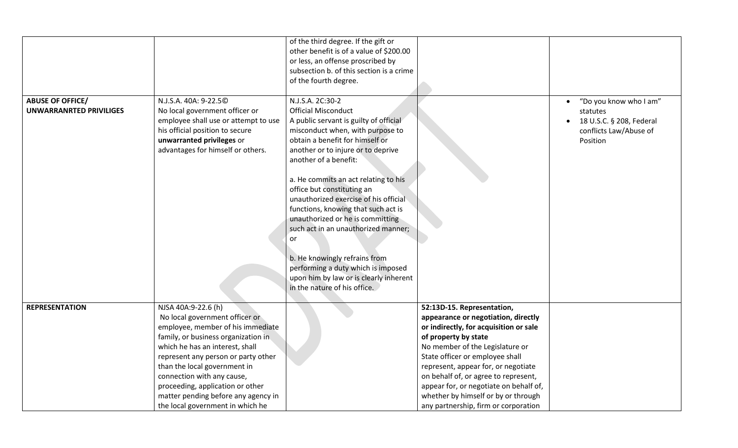|                                                           |                                                                                                                                                                                                                                                                                                                                                                                          | of the third degree. If the gift or<br>other benefit is of a value of \$200.00<br>or less, an offense proscribed by<br>subsection b. of this section is a crime<br>of the fourth degree.                                                                                                                                                                                                                                                                                                                                                                                                                               |                                                                                                                                                                                                                                                                                                                                                                                                                   |                                                                                                      |
|-----------------------------------------------------------|------------------------------------------------------------------------------------------------------------------------------------------------------------------------------------------------------------------------------------------------------------------------------------------------------------------------------------------------------------------------------------------|------------------------------------------------------------------------------------------------------------------------------------------------------------------------------------------------------------------------------------------------------------------------------------------------------------------------------------------------------------------------------------------------------------------------------------------------------------------------------------------------------------------------------------------------------------------------------------------------------------------------|-------------------------------------------------------------------------------------------------------------------------------------------------------------------------------------------------------------------------------------------------------------------------------------------------------------------------------------------------------------------------------------------------------------------|------------------------------------------------------------------------------------------------------|
| <b>ABUSE OF OFFICE/</b><br><b>UNWARRANRTED PRIVILIGES</b> | N.J.S.A. 40A: 9-22.50<br>No local government officer or<br>employee shall use or attempt to use<br>his official position to secure<br>unwarranted privileges or<br>advantages for himself or others.                                                                                                                                                                                     | N.J.S.A. 2C:30-2<br><b>Official Misconduct</b><br>A public servant is guilty of official<br>misconduct when, with purpose to<br>obtain a benefit for himself or<br>another or to injure or to deprive<br>another of a benefit:<br>a. He commits an act relating to his<br>office but constituting an<br>unauthorized exercise of his official<br>functions, knowing that such act is<br>unauthorized or he is committing<br>such act in an unauthorized manner;<br>or<br>b. He knowingly refrains from<br>performing a duty which is imposed<br>upon him by law or is clearly inherent<br>in the nature of his office. |                                                                                                                                                                                                                                                                                                                                                                                                                   | "Do you know who I am"<br>statutes<br>18 U.S.C. § 208, Federal<br>conflicts Law/Abuse of<br>Position |
| <b>REPRESENTATION</b>                                     | NJSA 40A:9-22.6 (h)<br>No local government officer or<br>employee, member of his immediate<br>family, or business organization in<br>which he has an interest, shall<br>represent any person or party other<br>than the local government in<br>connection with any cause,<br>proceeding, application or other<br>matter pending before any agency in<br>the local government in which he |                                                                                                                                                                                                                                                                                                                                                                                                                                                                                                                                                                                                                        | 52:13D-15. Representation,<br>appearance or negotiation, directly<br>or indirectly, for acquisition or sale<br>of property by state<br>No member of the Legislature or<br>State officer or employee shall<br>represent, appear for, or negotiate<br>on behalf of, or agree to represent,<br>appear for, or negotiate on behalf of,<br>whether by himself or by or through<br>any partnership, firm or corporation |                                                                                                      |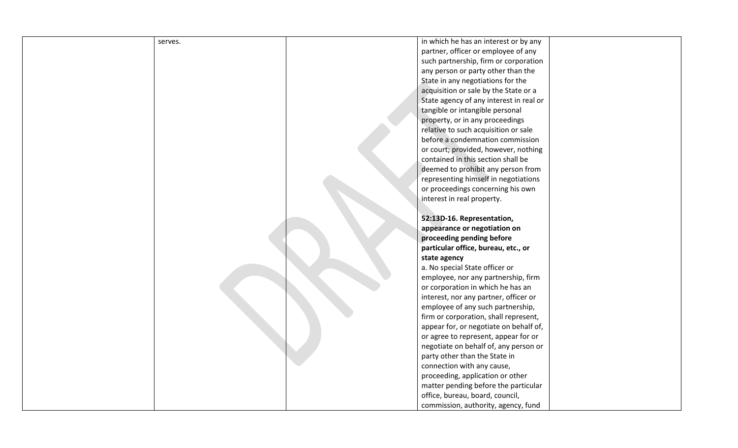| serves. |  | in which he has an interest or by any   |
|---------|--|-----------------------------------------|
|         |  | partner, officer or employee of any     |
|         |  | such partnership, firm or corporation   |
|         |  | any person or party other than the      |
|         |  | State in any negotiations for the       |
|         |  | acquisition or sale by the State or a   |
|         |  | State agency of any interest in real or |
|         |  | tangible or intangible personal         |
|         |  | property, or in any proceedings         |
|         |  | relative to such acquisition or sale    |
|         |  | before a condemnation commission        |
|         |  | or court; provided, however, nothing    |
|         |  | contained in this section shall be      |
|         |  | deemed to prohibit any person from      |
|         |  | representing himself in negotiations    |
|         |  | or proceedings concerning his own       |
|         |  | interest in real property.              |
|         |  |                                         |
|         |  | 52:13D-16. Representation,              |
|         |  | appearance or negotiation on            |
|         |  | proceeding pending before               |
|         |  | particular office, bureau, etc., or     |
|         |  | state agency                            |
|         |  | a. No special State officer or          |
|         |  | employee, nor any partnership, firm     |
|         |  | or corporation in which he has an       |
|         |  | interest, nor any partner, officer or   |
|         |  | employee of any such partnership,       |
|         |  | firm or corporation, shall represent,   |
|         |  | appear for, or negotiate on behalf of,  |
|         |  | or agree to represent, appear for or    |
|         |  | negotiate on behalf of, any person or   |
|         |  | party other than the State in           |
|         |  | connection with any cause,              |
|         |  | proceeding, application or other        |
|         |  | matter pending before the particular    |
|         |  | office, bureau, board, council,         |
|         |  | commission, authority, agency, fund     |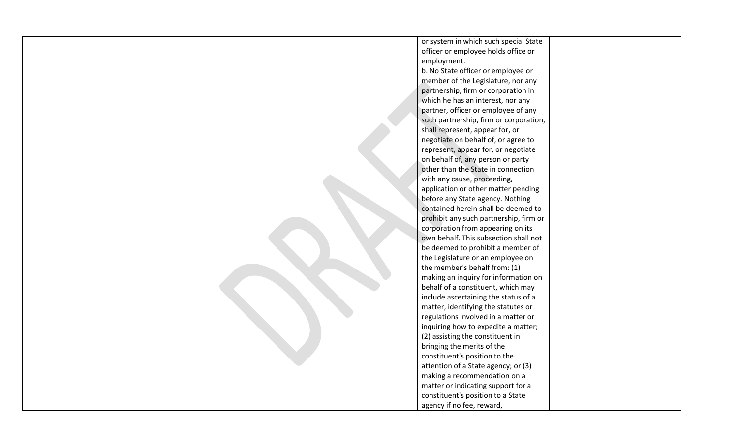|  | or system in which such special State  |  |
|--|----------------------------------------|--|
|  | officer or employee holds office or    |  |
|  | employment.                            |  |
|  | b. No State officer or employee or     |  |
|  | member of the Legislature, nor any     |  |
|  | partnership, firm or corporation in    |  |
|  | which he has an interest, nor any      |  |
|  | partner, officer or employee of any    |  |
|  | such partnership, firm or corporation, |  |
|  | shall represent, appear for, or        |  |
|  | negotiate on behalf of, or agree to    |  |
|  | represent, appear for, or negotiate    |  |
|  | on behalf of, any person or party      |  |
|  | other than the State in connection     |  |
|  | with any cause, proceeding,            |  |
|  | application or other matter pending    |  |
|  | before any State agency. Nothing       |  |
|  | contained herein shall be deemed to    |  |
|  | prohibit any such partnership, firm or |  |
|  | corporation from appearing on its      |  |
|  | own behalf. This subsection shall not  |  |
|  | be deemed to prohibit a member of      |  |
|  | the Legislature or an employee on      |  |
|  | the member's behalf from: (1)          |  |
|  | making an inquiry for information on   |  |
|  | behalf of a constituent, which may     |  |
|  | include ascertaining the status of a   |  |
|  | matter, identifying the statutes or    |  |
|  | regulations involved in a matter or    |  |
|  | inquiring how to expedite a matter;    |  |
|  | (2) assisting the constituent in       |  |
|  | bringing the merits of the             |  |
|  | constituent's position to the          |  |
|  | attention of a State agency; or (3)    |  |
|  | making a recommendation on a           |  |
|  | matter or indicating support for a     |  |
|  | constituent's position to a State      |  |
|  | agency if no fee, reward,              |  |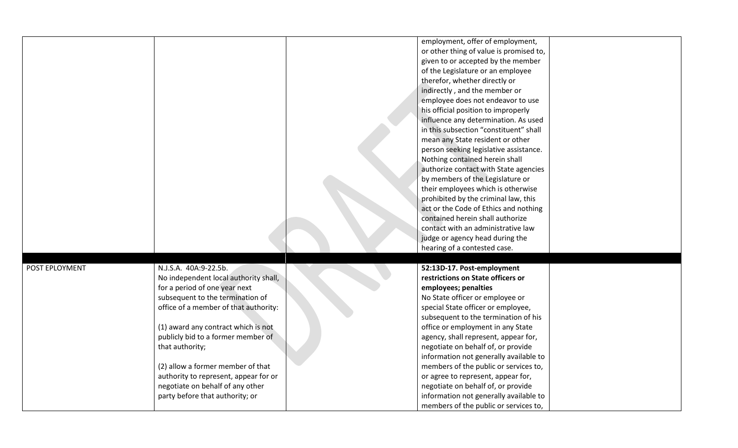|                |                                       | employment, offer of employment,        |  |
|----------------|---------------------------------------|-----------------------------------------|--|
|                |                                       | or other thing of value is promised to, |  |
|                |                                       | given to or accepted by the member      |  |
|                |                                       | of the Legislature or an employee       |  |
|                |                                       | therefor, whether directly or           |  |
|                |                                       | indirectly, and the member or           |  |
|                |                                       | employee does not endeavor to use       |  |
|                |                                       | his official position to improperly     |  |
|                |                                       | influence any determination. As used    |  |
|                |                                       | in this subsection "constituent" shall  |  |
|                |                                       | mean any State resident or other        |  |
|                |                                       |                                         |  |
|                |                                       | person seeking legislative assistance.  |  |
|                |                                       | Nothing contained herein shall          |  |
|                |                                       | authorize contact with State agencies   |  |
|                |                                       | by members of the Legislature or        |  |
|                |                                       | their employees which is otherwise      |  |
|                |                                       | prohibited by the criminal law, this    |  |
|                |                                       | act or the Code of Ethics and nothing   |  |
|                |                                       | contained herein shall authorize        |  |
|                |                                       | contact with an administrative law      |  |
|                |                                       | judge or agency head during the         |  |
|                |                                       | hearing of a contested case.            |  |
|                |                                       |                                         |  |
| POST EPLOYMENT | N.J.S.A. 40A:9-22.5b.                 | 52:13D-17. Post-employment              |  |
|                | No independent local authority shall, | restrictions on State officers or       |  |
|                | for a period of one year next         | employees; penalties                    |  |
|                | subsequent to the termination of      | No State officer or employee or         |  |
|                | office of a member of that authority: | special State officer or employee,      |  |
|                |                                       | subsequent to the termination of his    |  |
|                | (1) award any contract which is not   | office or employment in any State       |  |
|                | publicly bid to a former member of    | agency, shall represent, appear for,    |  |
|                | that authority;                       | negotiate on behalf of, or provide      |  |
|                |                                       | information not generally available to  |  |
|                | (2) allow a former member of that     | members of the public or services to,   |  |
|                | authority to represent, appear for or | or agree to represent, appear for,      |  |
|                | negotiate on behalf of any other      | negotiate on behalf of, or provide      |  |
|                | party before that authority; or       | information not generally available to  |  |
|                |                                       | members of the public or services to,   |  |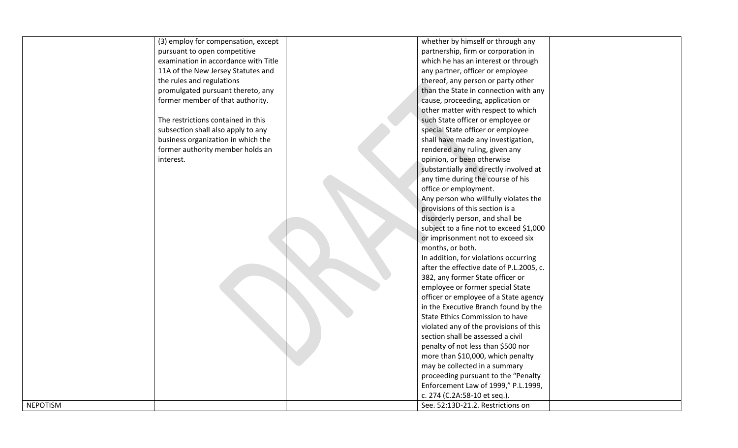| (3) employ for compensation, except<br>whether by himself or through any<br>pursuant to open competitive<br>partnership, firm or corporation in<br>examination in accordance with Title<br>which he has an interest or through<br>11A of the New Jersey Statutes and<br>any partner, officer or employee<br>the rules and regulations<br>thereof, any person or party other<br>than the State in connection with any<br>promulgated pursuant thereto, any<br>former member of that authority.<br>cause, proceeding, application or<br>other matter with respect to which<br>The restrictions contained in this<br>such State officer or employee or<br>special State officer or employee<br>subsection shall also apply to any<br>shall have made any investigation,<br>business organization in which the<br>former authority member holds an<br>rendered any ruling, given any<br>opinion, or been otherwise<br>interest.<br>substantially and directly involved at<br>any time during the course of his<br>office or employment.<br>Any person who willfully violates the<br>provisions of this section is a<br>disorderly person, and shall be<br>subject to a fine not to exceed \$1,000<br>or imprisonment not to exceed six<br>months, or both.<br>In addition, for violations occurring<br>after the effective date of P.L.2005, c.<br>382, any former State officer or |
|---------------------------------------------------------------------------------------------------------------------------------------------------------------------------------------------------------------------------------------------------------------------------------------------------------------------------------------------------------------------------------------------------------------------------------------------------------------------------------------------------------------------------------------------------------------------------------------------------------------------------------------------------------------------------------------------------------------------------------------------------------------------------------------------------------------------------------------------------------------------------------------------------------------------------------------------------------------------------------------------------------------------------------------------------------------------------------------------------------------------------------------------------------------------------------------------------------------------------------------------------------------------------------------------------------------------------------------------------------------------------------|
|                                                                                                                                                                                                                                                                                                                                                                                                                                                                                                                                                                                                                                                                                                                                                                                                                                                                                                                                                                                                                                                                                                                                                                                                                                                                                                                                                                                 |
|                                                                                                                                                                                                                                                                                                                                                                                                                                                                                                                                                                                                                                                                                                                                                                                                                                                                                                                                                                                                                                                                                                                                                                                                                                                                                                                                                                                 |
|                                                                                                                                                                                                                                                                                                                                                                                                                                                                                                                                                                                                                                                                                                                                                                                                                                                                                                                                                                                                                                                                                                                                                                                                                                                                                                                                                                                 |
|                                                                                                                                                                                                                                                                                                                                                                                                                                                                                                                                                                                                                                                                                                                                                                                                                                                                                                                                                                                                                                                                                                                                                                                                                                                                                                                                                                                 |
|                                                                                                                                                                                                                                                                                                                                                                                                                                                                                                                                                                                                                                                                                                                                                                                                                                                                                                                                                                                                                                                                                                                                                                                                                                                                                                                                                                                 |
|                                                                                                                                                                                                                                                                                                                                                                                                                                                                                                                                                                                                                                                                                                                                                                                                                                                                                                                                                                                                                                                                                                                                                                                                                                                                                                                                                                                 |
|                                                                                                                                                                                                                                                                                                                                                                                                                                                                                                                                                                                                                                                                                                                                                                                                                                                                                                                                                                                                                                                                                                                                                                                                                                                                                                                                                                                 |
|                                                                                                                                                                                                                                                                                                                                                                                                                                                                                                                                                                                                                                                                                                                                                                                                                                                                                                                                                                                                                                                                                                                                                                                                                                                                                                                                                                                 |
|                                                                                                                                                                                                                                                                                                                                                                                                                                                                                                                                                                                                                                                                                                                                                                                                                                                                                                                                                                                                                                                                                                                                                                                                                                                                                                                                                                                 |
|                                                                                                                                                                                                                                                                                                                                                                                                                                                                                                                                                                                                                                                                                                                                                                                                                                                                                                                                                                                                                                                                                                                                                                                                                                                                                                                                                                                 |
|                                                                                                                                                                                                                                                                                                                                                                                                                                                                                                                                                                                                                                                                                                                                                                                                                                                                                                                                                                                                                                                                                                                                                                                                                                                                                                                                                                                 |
|                                                                                                                                                                                                                                                                                                                                                                                                                                                                                                                                                                                                                                                                                                                                                                                                                                                                                                                                                                                                                                                                                                                                                                                                                                                                                                                                                                                 |
|                                                                                                                                                                                                                                                                                                                                                                                                                                                                                                                                                                                                                                                                                                                                                                                                                                                                                                                                                                                                                                                                                                                                                                                                                                                                                                                                                                                 |
|                                                                                                                                                                                                                                                                                                                                                                                                                                                                                                                                                                                                                                                                                                                                                                                                                                                                                                                                                                                                                                                                                                                                                                                                                                                                                                                                                                                 |
|                                                                                                                                                                                                                                                                                                                                                                                                                                                                                                                                                                                                                                                                                                                                                                                                                                                                                                                                                                                                                                                                                                                                                                                                                                                                                                                                                                                 |
|                                                                                                                                                                                                                                                                                                                                                                                                                                                                                                                                                                                                                                                                                                                                                                                                                                                                                                                                                                                                                                                                                                                                                                                                                                                                                                                                                                                 |
|                                                                                                                                                                                                                                                                                                                                                                                                                                                                                                                                                                                                                                                                                                                                                                                                                                                                                                                                                                                                                                                                                                                                                                                                                                                                                                                                                                                 |
|                                                                                                                                                                                                                                                                                                                                                                                                                                                                                                                                                                                                                                                                                                                                                                                                                                                                                                                                                                                                                                                                                                                                                                                                                                                                                                                                                                                 |
|                                                                                                                                                                                                                                                                                                                                                                                                                                                                                                                                                                                                                                                                                                                                                                                                                                                                                                                                                                                                                                                                                                                                                                                                                                                                                                                                                                                 |
|                                                                                                                                                                                                                                                                                                                                                                                                                                                                                                                                                                                                                                                                                                                                                                                                                                                                                                                                                                                                                                                                                                                                                                                                                                                                                                                                                                                 |
|                                                                                                                                                                                                                                                                                                                                                                                                                                                                                                                                                                                                                                                                                                                                                                                                                                                                                                                                                                                                                                                                                                                                                                                                                                                                                                                                                                                 |
|                                                                                                                                                                                                                                                                                                                                                                                                                                                                                                                                                                                                                                                                                                                                                                                                                                                                                                                                                                                                                                                                                                                                                                                                                                                                                                                                                                                 |
|                                                                                                                                                                                                                                                                                                                                                                                                                                                                                                                                                                                                                                                                                                                                                                                                                                                                                                                                                                                                                                                                                                                                                                                                                                                                                                                                                                                 |
|                                                                                                                                                                                                                                                                                                                                                                                                                                                                                                                                                                                                                                                                                                                                                                                                                                                                                                                                                                                                                                                                                                                                                                                                                                                                                                                                                                                 |
|                                                                                                                                                                                                                                                                                                                                                                                                                                                                                                                                                                                                                                                                                                                                                                                                                                                                                                                                                                                                                                                                                                                                                                                                                                                                                                                                                                                 |
| employee or former special State                                                                                                                                                                                                                                                                                                                                                                                                                                                                                                                                                                                                                                                                                                                                                                                                                                                                                                                                                                                                                                                                                                                                                                                                                                                                                                                                                |
| officer or employee of a State agency                                                                                                                                                                                                                                                                                                                                                                                                                                                                                                                                                                                                                                                                                                                                                                                                                                                                                                                                                                                                                                                                                                                                                                                                                                                                                                                                           |
| in the Executive Branch found by the                                                                                                                                                                                                                                                                                                                                                                                                                                                                                                                                                                                                                                                                                                                                                                                                                                                                                                                                                                                                                                                                                                                                                                                                                                                                                                                                            |
| State Ethics Commission to have                                                                                                                                                                                                                                                                                                                                                                                                                                                                                                                                                                                                                                                                                                                                                                                                                                                                                                                                                                                                                                                                                                                                                                                                                                                                                                                                                 |
| violated any of the provisions of this                                                                                                                                                                                                                                                                                                                                                                                                                                                                                                                                                                                                                                                                                                                                                                                                                                                                                                                                                                                                                                                                                                                                                                                                                                                                                                                                          |
| section shall be assessed a civil                                                                                                                                                                                                                                                                                                                                                                                                                                                                                                                                                                                                                                                                                                                                                                                                                                                                                                                                                                                                                                                                                                                                                                                                                                                                                                                                               |
| penalty of not less than \$500 nor                                                                                                                                                                                                                                                                                                                                                                                                                                                                                                                                                                                                                                                                                                                                                                                                                                                                                                                                                                                                                                                                                                                                                                                                                                                                                                                                              |
| more than \$10,000, which penalty                                                                                                                                                                                                                                                                                                                                                                                                                                                                                                                                                                                                                                                                                                                                                                                                                                                                                                                                                                                                                                                                                                                                                                                                                                                                                                                                               |
| may be collected in a summary                                                                                                                                                                                                                                                                                                                                                                                                                                                                                                                                                                                                                                                                                                                                                                                                                                                                                                                                                                                                                                                                                                                                                                                                                                                                                                                                                   |
| proceeding pursuant to the "Penalty                                                                                                                                                                                                                                                                                                                                                                                                                                                                                                                                                                                                                                                                                                                                                                                                                                                                                                                                                                                                                                                                                                                                                                                                                                                                                                                                             |
| Enforcement Law of 1999," P.L.1999,                                                                                                                                                                                                                                                                                                                                                                                                                                                                                                                                                                                                                                                                                                                                                                                                                                                                                                                                                                                                                                                                                                                                                                                                                                                                                                                                             |
| c. 274 (C.2A:58-10 et seq.).                                                                                                                                                                                                                                                                                                                                                                                                                                                                                                                                                                                                                                                                                                                                                                                                                                                                                                                                                                                                                                                                                                                                                                                                                                                                                                                                                    |
| <b>NEPOTISM</b><br>See. 52:13D-21.2. Restrictions on                                                                                                                                                                                                                                                                                                                                                                                                                                                                                                                                                                                                                                                                                                                                                                                                                                                                                                                                                                                                                                                                                                                                                                                                                                                                                                                            |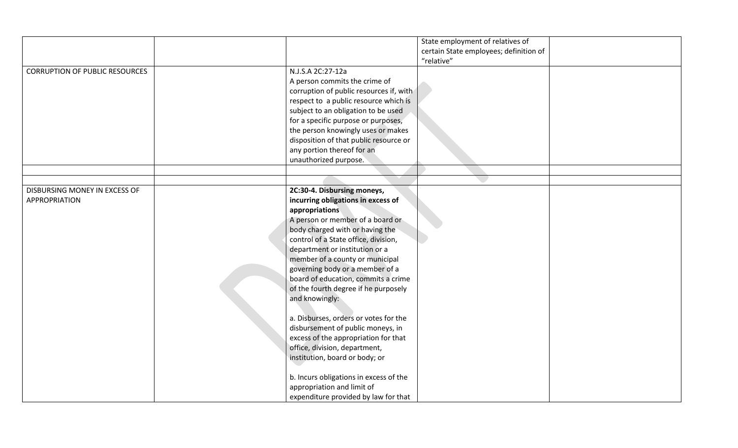|                                       |                                         | State employment of relatives of       |  |
|---------------------------------------|-----------------------------------------|----------------------------------------|--|
|                                       |                                         | certain State employees; definition of |  |
|                                       |                                         | "relative"                             |  |
| <b>CORRUPTION OF PUBLIC RESOURCES</b> | N.J.S.A 2C:27-12a                       |                                        |  |
|                                       | A person commits the crime of           |                                        |  |
|                                       | corruption of public resources if, with |                                        |  |
|                                       | respect to a public resource which is   |                                        |  |
|                                       |                                         |                                        |  |
|                                       | subject to an obligation to be used     |                                        |  |
|                                       | for a specific purpose or purposes,     |                                        |  |
|                                       | the person knowingly uses or makes      |                                        |  |
|                                       | disposition of that public resource or  |                                        |  |
|                                       | any portion thereof for an              |                                        |  |
|                                       | unauthorized purpose.                   |                                        |  |
|                                       |                                         |                                        |  |
|                                       |                                         |                                        |  |
| DISBURSING MONEY IN EXCESS OF         | 2C:30-4. Disbursing moneys,             |                                        |  |
| APPROPRIATION                         | incurring obligations in excess of      |                                        |  |
|                                       | appropriations                          |                                        |  |
|                                       | A person or member of a board or        |                                        |  |
|                                       | body charged with or having the         |                                        |  |
|                                       | control of a State office, division,    |                                        |  |
|                                       | department or institution or a          |                                        |  |
|                                       | member of a county or municipal         |                                        |  |
|                                       | governing body or a member of a         |                                        |  |
|                                       | board of education, commits a crime     |                                        |  |
|                                       | of the fourth degree if he purposely    |                                        |  |
|                                       |                                         |                                        |  |
|                                       | and knowingly:                          |                                        |  |
|                                       |                                         |                                        |  |
|                                       | a. Disburses, orders or votes for the   |                                        |  |
|                                       | disbursement of public moneys, in       |                                        |  |
|                                       | excess of the appropriation for that    |                                        |  |
|                                       | office, division, department,           |                                        |  |
|                                       | institution, board or body; or          |                                        |  |
|                                       |                                         |                                        |  |
|                                       | b. Incurs obligations in excess of the  |                                        |  |
|                                       | appropriation and limit of              |                                        |  |
|                                       | expenditure provided by law for that    |                                        |  |